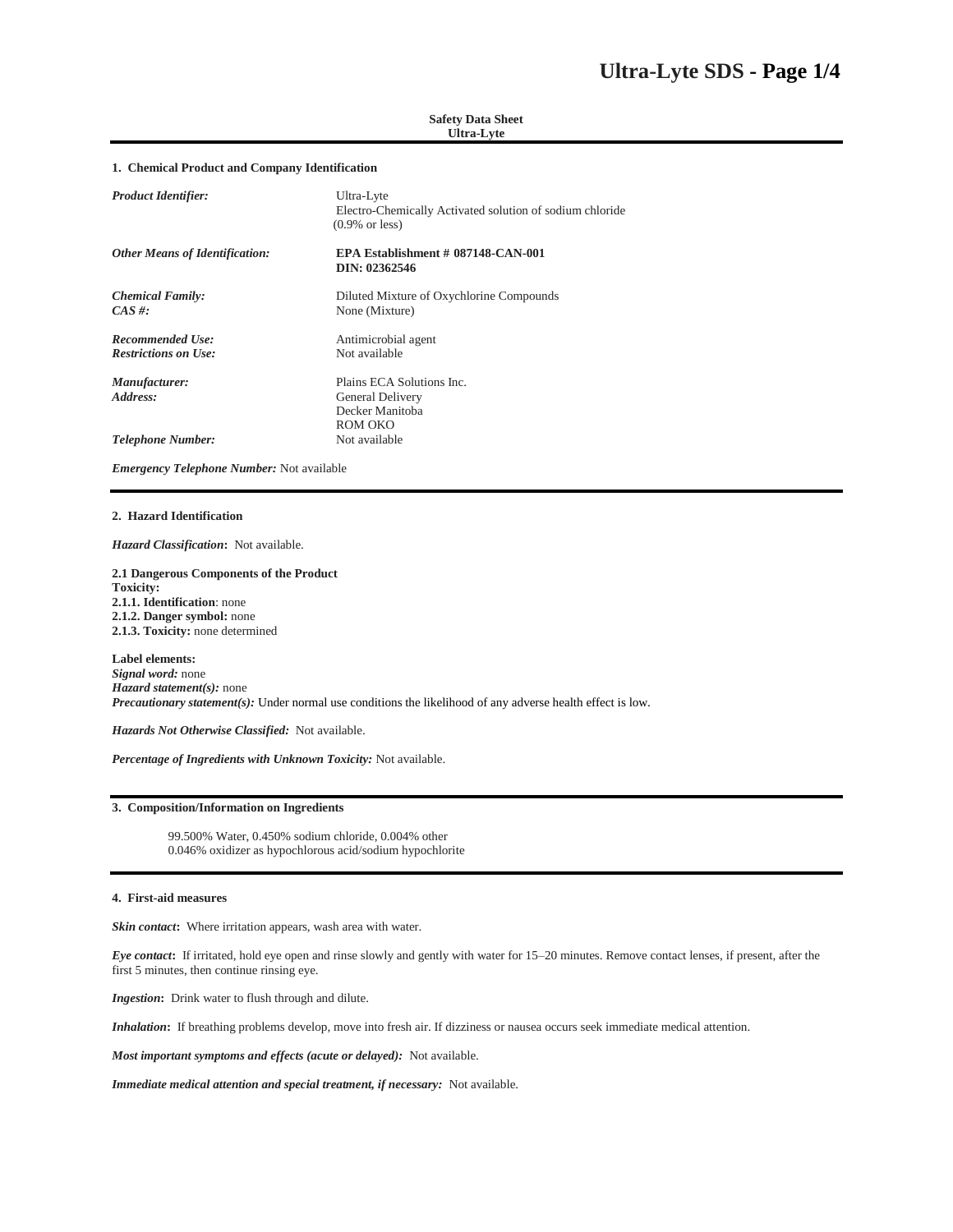# **Safety Data Sheet Ultra-Lyte**

# **1. Chemical Product and Company Identification**

| <b>Product Identifier:</b>            | Ultra-Lyte<br>Electro-Chemically Activated solution of sodium chloride<br>$(0.9\% \text{ or } less)$ |
|---------------------------------------|------------------------------------------------------------------------------------------------------|
| <b>Other Means of Identification:</b> | EPA Establishment # 087148-CAN-001<br>DIN: 02362546                                                  |
| <b>Chemical Family:</b><br>$CAS \#$ : | Diluted Mixture of Oxychlorine Compounds<br>None (Mixture)                                           |
| <b>Recommended Use:</b>               | Antimicrobial agent                                                                                  |
| <b>Restrictions on Use:</b>           | Not available                                                                                        |
| Manufacturer:                         | Plains ECA Solutions Inc.                                                                            |
| Address:                              | <b>General Delivery</b>                                                                              |
|                                       | Decker Manitoba                                                                                      |
|                                       | ROM OKO                                                                                              |
| <b>Telephone Number:</b>              | Not available                                                                                        |

*Emergency Telephone Number:* Not available

## **2. Hazard Identification**

*Hazard Classification***:** Not available.

**2.1 Dangerous Components of the Product Toxicity: 2.1.1. Identification**: none **2.1.2. Danger symbol:** none **2.1.3. Toxicity:** none determined

**Label elements:**  *Signal word:* none *Hazard statement(s):* none *Precautionary statement(s):* Under normal use conditions the likelihood of any adverse health effect is low.

*Hazards Not Otherwise Classified:* Not available.

*Percentage of Ingredients with Unknown Toxicity:* Not available.

## **3. Composition/Information on Ingredients**

99.500% Water, 0.450% sodium chloride, 0.004% other 0.046% oxidizer as hypochlorous acid/sodium hypochlorite

# **4. First-aid measures**

*Skin contact***:** Where irritation appears, wash area with water.

*Eye contact***:** If irritated, hold eye open and rinse slowly and gently with water for 15–20 minutes. Remove contact lenses, if present, after the first 5 minutes, then continue rinsing eye.

*Ingestion***:** Drink water to flush through and dilute.

*Inhalation***:** If breathing problems develop, move into fresh air. If dizziness or nausea occurs seek immediate medical attention.

*Most important symptoms and effects (acute or delayed):* Not available.

*Immediate medical attention and special treatment, if necessary:* Not available.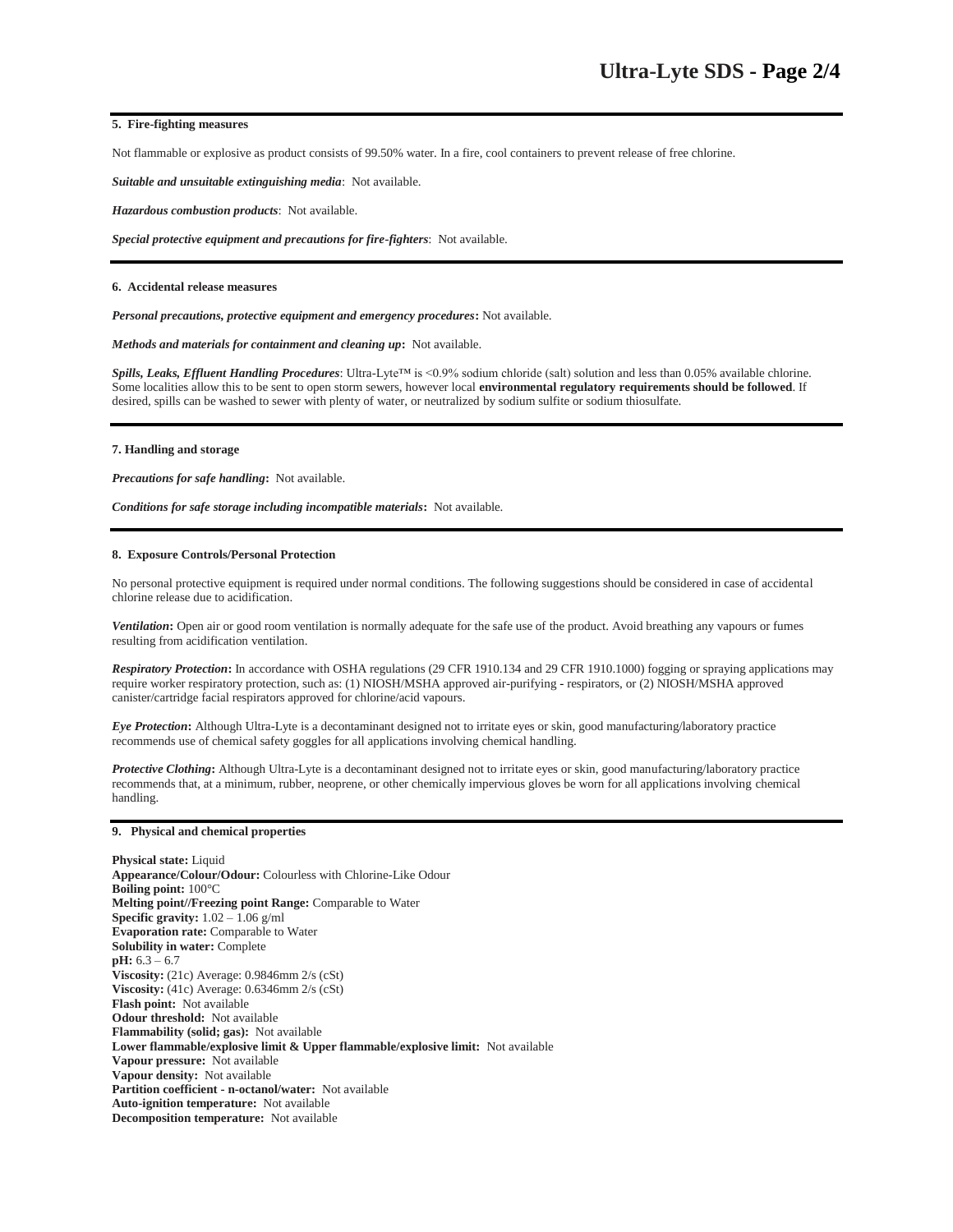# **5. Fire-fighting measures**

Not flammable or explosive as product consists of 99.50% water. In a fire, cool containers to prevent release of free chlorine.

*Suitable and unsuitable extinguishing media*: Not available.

*Hazardous combustion products*: Not available.

*Special protective equipment and precautions for fire-fighters*: Not available.

#### **6. Accidental release measures**

*Personal precautions, protective equipment and emergency procedures***:** Not available.

*Methods and materials for containment and cleaning up***:** Not available.

*Spills, Leaks, Effluent Handling Procedures*: Ultra-Lyte™ is <0.9% sodium chloride (salt) solution and less than 0.05% available chlorine. Some localities allow this to be sent to open storm sewers, however local **environmental regulatory requirements should be followed**. If desired, spills can be washed to sewer with plenty of water, or neutralized by sodium sulfite or sodium thiosulfate.

## **7. Handling and storage**

*Precautions for safe handling***:** Not available.

*Conditions for safe storage including incompatible materials***:** Not available.

# **8. Exposure Controls/Personal Protection**

No personal protective equipment is required under normal conditions. The following suggestions should be considered in case of accidental chlorine release due to acidification.

*Ventilation***:** Open air or good room ventilation is normally adequate for the safe use of the product. Avoid breathing any vapours or fumes resulting from acidification ventilation.

*Respiratory Protection***:** In accordance with OSHA regulations (29 CFR 1910.134 and 29 CFR 1910.1000) fogging or spraying applications may require worker respiratory protection, such as: (1) NIOSH/MSHA approved air-purifying - respirators, or (2) NIOSH/MSHA approved canister/cartridge facial respirators approved for chlorine/acid vapours.

*Eye Protection***:** Although Ultra-Lyte is a decontaminant designed not to irritate eyes or skin, good manufacturing/laboratory practice recommends use of chemical safety goggles for all applications involving chemical handling.

*Protective Clothing***:** Although Ultra-Lyte is a decontaminant designed not to irritate eyes or skin, good manufacturing/laboratory practice recommends that, at a minimum, rubber, neoprene, or other chemically impervious gloves be worn for all applications involving chemical handling.

#### **9. Physical and chemical properties**

**Physical state:** Liquid **Appearance/Colour/Odour:** Colourless with Chlorine-Like Odour **Boiling point:** 100°C **Melting point//Freezing point Range:** Comparable to Water **Specific gravity:** 1.02 – 1.06 g/ml **Evaporation rate:** Comparable to Water **Solubility in water:** Complete **pH:** 6.3 – 6.7 **Viscosity:** (21c) Average: 0.9846mm 2/s (cSt) **Viscosity:** (41c) Average: 0.6346mm 2/s (cSt) **Flash point:** Not available **Odour threshold:** Not available **Flammability (solid; gas):** Not available **Lower flammable/explosive limit & Upper flammable/explosive limit:** Not available **Vapour pressure:** Not available **Vapour density:** Not available **Partition coefficient - n-octanol/water:** Not available **Auto-ignition temperature:** Not available **Decomposition temperature:** Not available